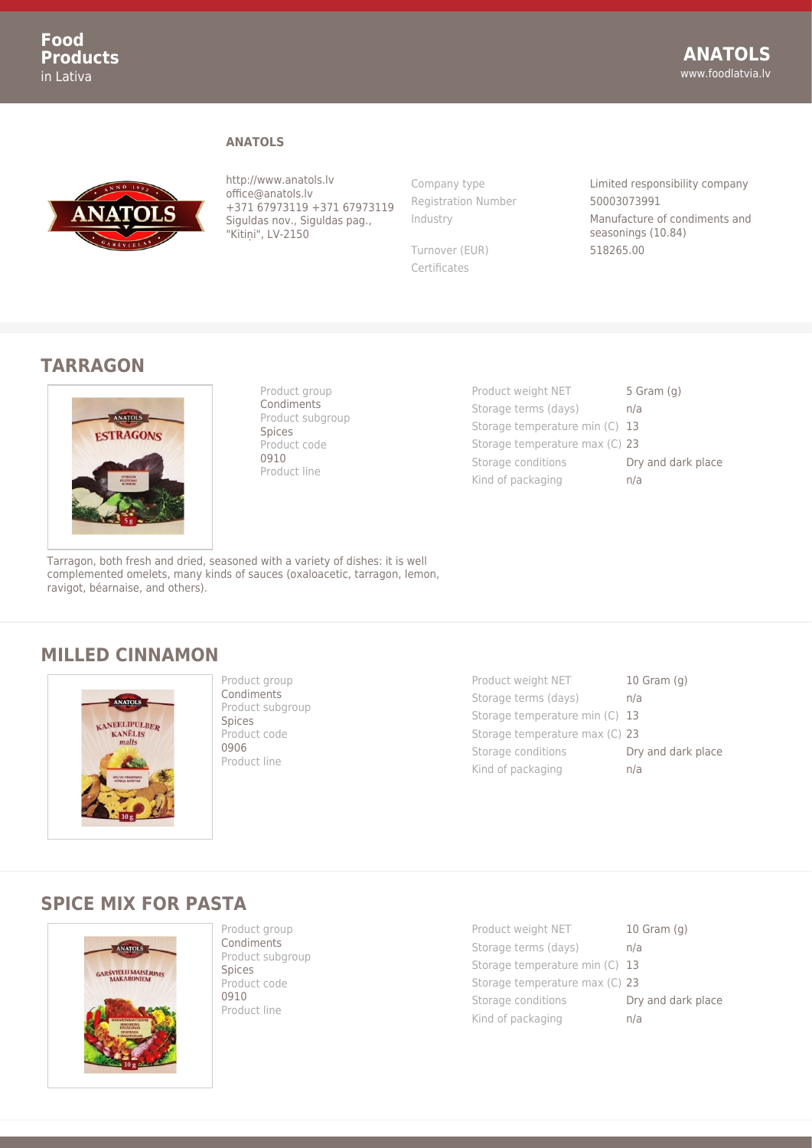#### **ANATOLS**



http://www.anatols.lv office@anatols.lv +371 67973119 +371 67973119 Siguldas nov., Siguldas pag., "Kitini", LV-2150

Registration Number 50003073991

Turnover (EUR) 518265.00 Certificates

Company type Limited responsibility company Industry Manufacture of condiments and seasonings (10.84)

### **TARRAGON**



Product group Condiments Product subgroup Spices Product code 0910 Product line

Product weight NET 5 Gram (g) Storage terms (days) h/a Storage temperature min (C) 13 Storage temperature max (C) 23 Storage conditions **Dry and dark place** Kind of packaging m/a

Tarragon, both fresh and dried, seasoned with a variety of dishes: it is well complemented omelets, many kinds of sauces (oxaloacetic, tarragon, lemon, ravigot, béarnaise, and others).

## **MILLED CINNAMON**



Product group **Condiments** Product subgroup Spices Product code 0906 Product line

Product weight NET 10 Gram (g) Storage terms (days) h/a Storage temperature min (C) 13 Storage temperature max (C) 23 Storage conditions **Dry and dark place** Kind of packaging m/a

### **SPICE MIX FOR PASTA**



Product group **Condiments** Product subgroup Spices Product code 0910 Product line

Product weight NET 10 Gram (g) Storage terms (days) an/a Storage temperature min (C) 13 Storage temperature max (C) 23 Storage conditions **Dry and dark place** Kind of packaging and n/a